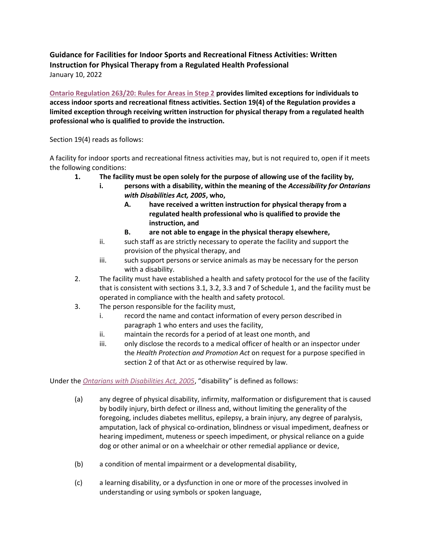**Guidance for Facilities for Indoor Sports and Recreational Fitness Activities: Written Instruction for Physical Therapy from a Regulated Health Professional** January 10, 2022

**[Ontario Regulation 263/20: Rules for Areas in Step 2](https://www.ontario.ca/laws/regulation/200263) provides limited exceptions for individuals to access indoor sports and recreational fitness activities. Section 19(4) of the Regulation provides a limited exception through receiving written instruction for physical therapy from a regulated health professional who is qualified to provide the instruction.**

Section 19(4) reads as follows:

A facility for indoor sports and recreational fitness activities may, but is not required to, open if it meets the following conditions:

- **1. The facility must be open solely for the purpose of allowing use of the facility by,**
	- **i. persons with a disability, within the meaning of the** *Accessibility for Ontarians with Disabilities Act, 2005***, who,**
		- **A. have received a written instruction for physical therapy from a regulated health professional who is qualified to provide the instruction, and**
		- **B. are not able to engage in the physical therapy elsewhere,**
	- ii. such staff as are strictly necessary to operate the facility and support the provision of the physical therapy, and
	- iii. such support persons or service animals as may be necessary for the person with a disability.
- 2. The facility must have established a health and safety protocol for the use of the facility that is consistent with sections 3.1, 3.2, 3.3 and 7 of Schedule 1, and the facility must be operated in compliance with the health and safety protocol.
- 3. The person responsible for the facility must,
	- i. record the name and contact information of every person described in paragraph 1 who enters and uses the facility,
	- ii. maintain the records for a period of at least one month, and
	- iii. only disclose the records to a medical officer of health or an inspector under the *Health Protection and Promotion Act* on request for a purpose specified in section 2 of that Act or as otherwise required by law.

Under the *[Ontarians with Disabilities Act, 2005](https://www.ontario.ca/laws/statute/05a11)*, "disability" is defined as follows:

- (a) any degree of physical disability, infirmity, malformation or disfigurement that is caused by bodily injury, birth defect or illness and, without limiting the generality of the foregoing, includes diabetes mellitus, epilepsy, a brain injury, any degree of paralysis, amputation, lack of physical co-ordination, blindness or visual impediment, deafness or hearing impediment, muteness or speech impediment, or physical reliance on a guide dog or other animal or on a wheelchair or other remedial appliance or device,
- (b) a condition of mental impairment or a developmental disability,
- (c) a learning disability, or a dysfunction in one or more of the processes involved in understanding or using symbols or spoken language,